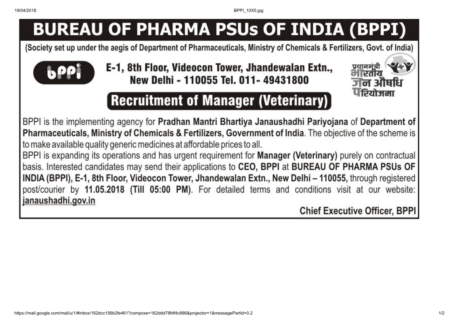19/04/2018 BPPI\_10X5.jpg

# **BUREAU OF PHARMA PSUs OF INDIA (BPPI)**

(Society set up under the aegis of Department of Pharmaceuticals, Ministry of Chemicals & Fertilizers, Govt. of India)



E-1, 8th Floor, Videocon Tower, Jhandewalan Extn., New Delhi - 110055 Tel. 011-49431800



## **Recruitment of Manager (Veterinary)**

BPPI is the implementing agency for Pradhan Mantri Bhartiya Janaushadhi Pariyojana of Department of Pharmaceuticals, Ministry of Chemicals & Fertilizers, Government of India. The objective of the scheme is to make available quality generic medicines at affordable prices to all.

BPPI is expanding its operations and has urgent requirement for Manager (Veterinary) purely on contractual basis. Interested candidates may send their applications to CEO, BPPI at BUREAU OF PHARMA PSUs OF INDIA (BPPI), E-1, 8th Floor, Videocon Tower, Jhandewalan Extn., New Delhi - 110055, through registered post/courier by 11.05.2018 (Till 05:00 PM). For detailed terms and conditions visit at our website: janaushadhi.gov.in

**Chief Executive Officer, BPPI**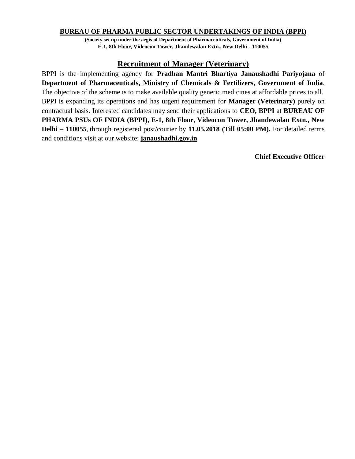#### **BUREAU OF PHARMA PUBLIC SECTOR UNDERTAKINGS OF INDIA (BPPI)**

**(Society set up under the aegis of Department of Pharmaceuticals, Government of India) E-1, 8th Floor, Videocon Tower, Jhandewalan Extn., New Delhi - 110055**

#### **Recruitment of Manager (Veterinary)**

BPPI is the implementing agency for **Pradhan Mantri Bhartiya Janaushadhi Pariyojana** of **Department of Pharmaceuticals, Ministry of Chemicals & Fertilizers, Government of India**. The objective of the scheme is to make available quality generic medicines at affordable prices to all. BPPI is expanding its operations and has urgent requirement for **Manager (Veterinary)** purely on contractual basis. Interested candidates may send their applications to **CEO, BPPI** at **BUREAU OF PHARMA PSUs OF INDIA (BPPI), E-1, 8th Floor, Videocon Tower, Jhandewalan Extn., New Delhi – 110055,** through registered post/courier by **11.05.2018 (Till 05:00 PM).** For detailed terms and conditions visit at our website: **janaushadhi.gov.in** 

**Chief Executive Officer**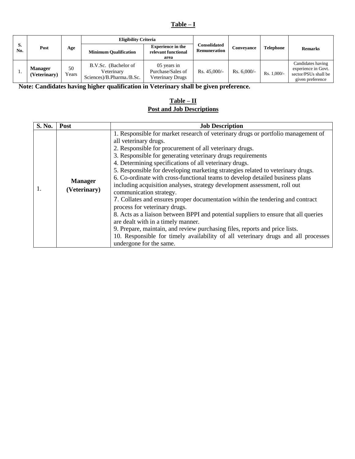#### **Table – I**

|           | Post                           | Age                     | <b>Eligibility Criteria</b>                                     |                                                             |                                     |               |                  |                                                                                      |
|-----------|--------------------------------|-------------------------|-----------------------------------------------------------------|-------------------------------------------------------------|-------------------------------------|---------------|------------------|--------------------------------------------------------------------------------------|
| S.<br>No. |                                |                         | <b>Minimum Qualification</b>                                    | <b>Experience in the</b><br>relevant functional<br>area     | Consolidated<br><b>Remuneration</b> | Conveyance    | <b>Telephone</b> | <b>Remarks</b>                                                                       |
|           | <b>Manager</b><br>(Veterinary) | 50<br>ears <sup>?</sup> | B.V.Sc. (Bachelor of<br>Veterinary<br>Sciences)/B.Pharma./B.Sc. | 05 years in<br>Purchase/Sales of<br><b>Veterinary Drugs</b> | Rs. $45,000/-$                      | $Rs. 6,000/-$ | $Rs. 1,000/-$    | Candidates having<br>experience in Govt.<br>sector/PSUs shall be<br>given preference |

**Note: Candidates having higher qualification in Veterinary shall be given preference.**

#### **Table – II Post and Job Descriptions**

| S. No. | Post                           | <b>Job Description</b>                                                                                                                                                                                                                                                                                                                                                                                                                                                                                                                                                                                                                                                                                                                                                                                                                                                                                                                                                                                                     |  |  |  |
|--------|--------------------------------|----------------------------------------------------------------------------------------------------------------------------------------------------------------------------------------------------------------------------------------------------------------------------------------------------------------------------------------------------------------------------------------------------------------------------------------------------------------------------------------------------------------------------------------------------------------------------------------------------------------------------------------------------------------------------------------------------------------------------------------------------------------------------------------------------------------------------------------------------------------------------------------------------------------------------------------------------------------------------------------------------------------------------|--|--|--|
| 1.     | <b>Manager</b><br>(Veterinary) | 1. Responsible for market research of veterinary drugs or portfolio management of<br>all veterinary drugs.<br>2. Responsible for procurement of all veterinary drugs.<br>3. Responsible for generating veterinary drugs requirements<br>4. Determining specifications of all veterinary drugs.<br>5. Responsible for developing marketing strategies related to veterinary drugs.<br>6. Co-ordinate with cross-functional teams to develop detailed business plans<br>including acquisition analyses, strategy development assessment, roll out<br>communication strategy.<br>7. Collates and ensures proper documentation within the tendering and contract<br>process for veterinary drugs.<br>8. Acts as a liaison between BPPI and potential suppliers to ensure that all queries<br>are dealt with in a timely manner.<br>9. Prepare, maintain, and review purchasing files, reports and price lists.<br>10. Responsible for timely availability of all veterinary drugs and all processes<br>undergone for the same. |  |  |  |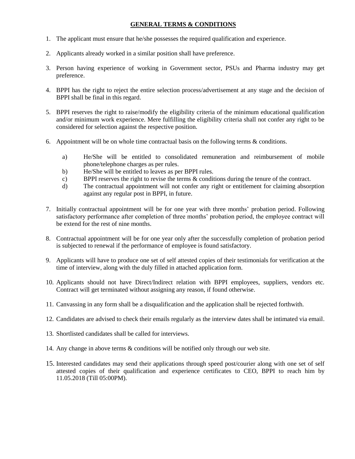#### **GENERAL TERMS & CONDITIONS**

- 1. The applicant must ensure that he/she possesses the required qualification and experience.
- 2. Applicants already worked in a similar position shall have preference.
- 3. Person having experience of working in Government sector, PSUs and Pharma industry may get preference.
- 4. BPPI has the right to reject the entire selection process/advertisement at any stage and the decision of BPPI shall be final in this regard.
- 5. BPPI reserves the right to raise/modify the eligibility criteria of the minimum educational qualification and/or minimum work experience. Mere fulfilling the eligibility criteria shall not confer any right to be considered for selection against the respective position.
- 6. Appointment will be on whole time contractual basis on the following terms & conditions.
	- a) He/She will be entitled to consolidated remuneration and reimbursement of mobile phone/telephone charges as per rules.
	- b) He/She will be entitled to leaves as per BPPI rules.
	- c) BPPI reserves the right to revise the terms & conditions during the tenure of the contract.
	- d) The contractual appointment will not confer any right or entitlement for claiming absorption against any regular post in BPPI, in future.
- 7. Initially contractual appointment will be for one year with three months' probation period. Following satisfactory performance after completion of three months' probation period, the employee contract will be extend for the rest of nine months.
- 8. Contractual appointment will be for one year only after the successfully completion of probation period is subjected to renewal if the performance of employee is found satisfactory.
- 9. Applicants will have to produce one set of self attested copies of their testimonials for verification at the time of interview, along with the duly filled in attached application form.
- 10. Applicants should not have Direct/Indirect relation with BPPI employees, suppliers, vendors etc. Contract will get terminated without assigning any reason, if found otherwise.
- 11. Canvassing in any form shall be a disqualification and the application shall be rejected forthwith.
- 12. Candidates are advised to check their emails regularly as the interview dates shall be intimated via email.
- 13. Shortlisted candidates shall be called for interviews.
- 14. Any change in above terms & conditions will be notified only through our web site.
- 15. Interested candidates may send their applications through speed post/courier along with one set of self attested copies of their qualification and experience certificates to CEO, BPPI to reach him by 11.05.2018 (Till 05:00PM).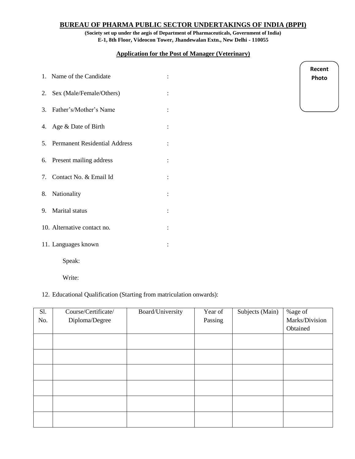#### **BUREAU OF PHARMA PUBLIC SECTOR UNDERTAKINGS OF INDIA (BPPI)**

**(Society set up under the aegis of Department of Pharmaceuticals, Government of India) E-1, 8th Floor, Videocon Tower, Jhandewalan Extn., New Delhi - 110055**

#### **Application for the Post of Manager (Veterinary)**

| 1. Name of the Candidate         |  |
|----------------------------------|--|
| 2. Sex (Male/Female/Others)      |  |
| 3. Father's/Mother's Name        |  |
| 4. Age & Date of Birth           |  |
| 5. Permanent Residential Address |  |
| 6. Present mailing address       |  |
| 7. Contact No. & Email Id        |  |
| 8. Nationality                   |  |
| 9. Marital status                |  |
| 10. Alternative contact no.      |  |
| 11. Languages known              |  |
| Speak:                           |  |

**Recent Photo**

### Write:

#### 12. Educational Qualification (Starting from matriculation onwards):

| Sl. | Course/Certificate/ | Board/University | Year of | Subjects (Main) | %age of        |
|-----|---------------------|------------------|---------|-----------------|----------------|
| No. | Diploma/Degree      |                  | Passing |                 | Marks/Division |
|     |                     |                  |         |                 | Obtained       |
|     |                     |                  |         |                 |                |
|     |                     |                  |         |                 |                |
|     |                     |                  |         |                 |                |
|     |                     |                  |         |                 |                |
|     |                     |                  |         |                 |                |
|     |                     |                  |         |                 |                |
|     |                     |                  |         |                 |                |
|     |                     |                  |         |                 |                |
|     |                     |                  |         |                 |                |
|     |                     |                  |         |                 |                |